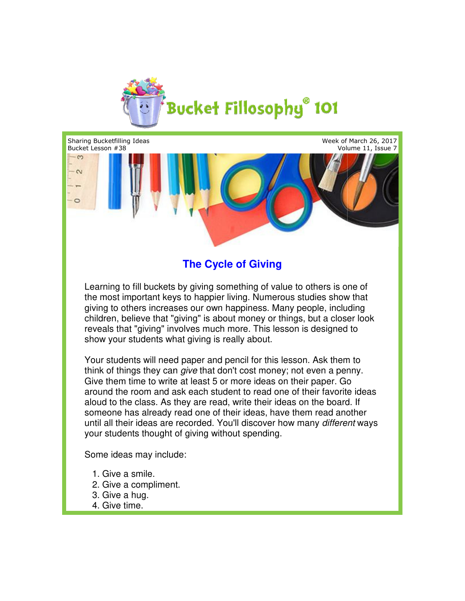

Sharing Bucketfilling Ideas Bucket Lesson #38

Week of March 26, 2017  $\,$ t of March 26, 2017<br>Volume 11, Issue 7



## **The Cycle of Giving**

Learning to fill buckets by giving something of value to others is one of the most important keys to happier living. Numerous studies show that giving to others increases our own happiness. Many people, including children, believe that "giving" is about money or things, but a closer look reveals that "giving" involves much more. This lesson is designed to show your students what giving is really about. the most important keys to happier living. Numerous studies show th<br>giving to others increases our own happiness. Many people, includin<br>children, believe that "giving" is about money or things, but a closer l<br>reveals that

Your students will need paper and pencil for this lesson. Ask them to show your students what giving is really about.<br>Your students will need paper and pencil for this lesson. Ask them to<br>think of things they can *give* that don't cost money; not even a penny. Give them time to write at least 5 or more ideas on their paper. Go around the room and ask each student to read one of their favorite ideas aloud to the class. As they are read, write their ideas on the board. If aloud to the class. As they are read, write their ideas on the board. If<br>someone has already read one of their ideas, have them read another until all their ideas are recorded. You'll discover how many *different* your students thought of giving without spending. spending. involves much more. This lesson is designed to<br>what giving is really about.<br>ed paper and pencil for this lesson. Ask them to<br>an *give* that don't cost money; not even a penny.<br>ite at least 5 or more ideas on their paper. G

Some ideas may include:

- 1. Give a smile.
- 2. Give a compliment.
	- 3. Give a hug.
	- 4. Give time.